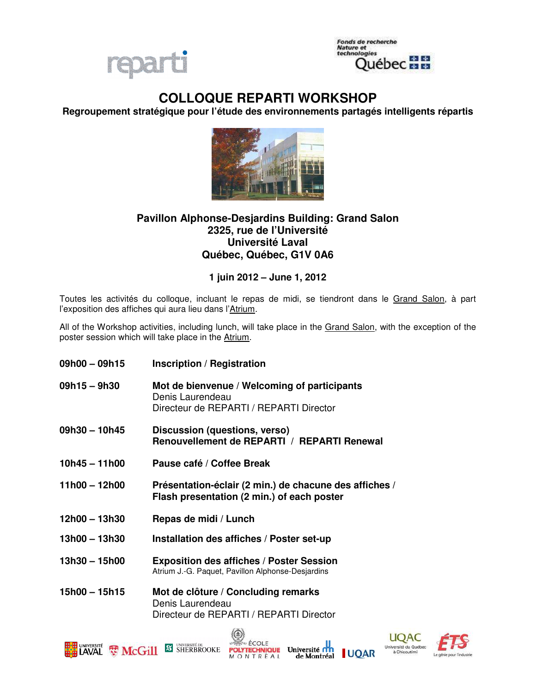



## **COLLOQUE REPARTI WORKSHOP**

**Regroupement stratégique pour l'étude des environnements partagés intelligents répartis** 



## **Pavillon Alphonse-Desjardins Building: Grand Salon 2325, rue de l'Université Université Laval Québec, Québec, G1V 0A6**

**1 juin 2012 – June 1, 2012**

Toutes les activités du colloque, incluant le repas de midi, se tiendront dans le Grand Salon, à part l'exposition des affiches qui aura lieu dans l'Atrium.

All of the Workshop activities, including lunch, will take place in the Grand Salon, with the exception of the poster session which will take place in the Atrium.

- **09h00 09h15 Inscription / Registration**
- **09h15 9h30 Mot de bienvenue / Welcoming of participants**  Denis Laurendeau Directeur de REPARTI / REPARTI Director
- **09h30 10h45 Discussion (questions, verso) Renouvellement de REPARTI / REPARTI Renewal**
- **10h45 11h00 Pause café / Coffee Break**
- **11h00 12h00 Présentation-éclair (2 min.) de chacune des affiches / Flash presentation (2 min.) of each poster**
- **12h00 13h30 Repas de midi / Lunch**
- **13h00 13h30 Installation des affiches / Poster set-up**
- **13h30 15h00 Exposition des affiches / Poster Session**  Atrium J.-G. Paquet, Pavillon Alphonse-Desjardins
- **15h00 15h15 Mot de clôture / Concluding remarks**  Denis Laurendeau Directeur de REPARTI / REPARTI Director





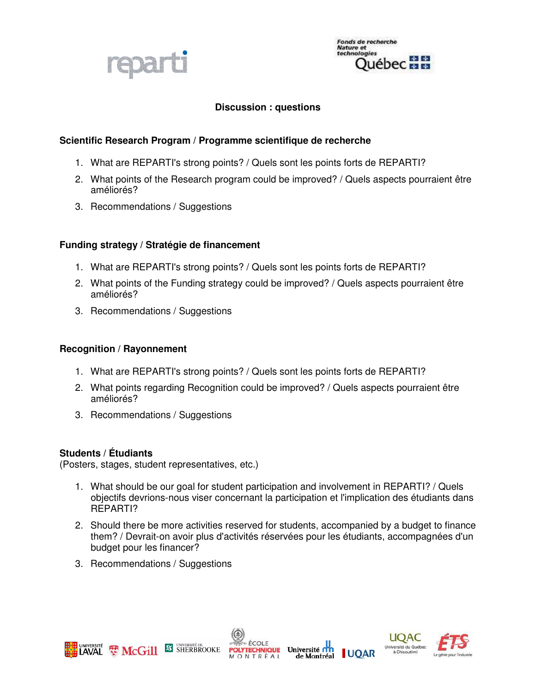

Fonds de recherche<br>Nature et<br>technologies  $+14$ uébec **min** 

## **Discussion : questions**

#### **Scientific Research Program / Programme scientifique de recherche**

- 1. What are REPARTI's strong points? / Quels sont les points forts de REPARTI?
- 2. What points of the Research program could be improved? / Quels aspects pourraient être améliorés?
- 3. Recommendations / Suggestions

#### **Funding strategy / Stratégie de financement**

- 1. What are REPARTI's strong points? / Quels sont les points forts de REPARTI?
- 2. What points of the Funding strategy could be improved? / Quels aspects pourraient être améliorés?
- 3. Recommendations / Suggestions

#### **Recognition / Rayonnement**

- 1. What are REPARTI's strong points? / Quels sont les points forts de REPARTI?
- 2. What points regarding Recognition could be improved? / Quels aspects pourraient être améliorés?
- 3. Recommendations / Suggestions

#### **Students / Étudiants**

(Posters, stages, student representatives, etc.)

- 1. What should be our goal for student participation and involvement in REPARTI? / Quels objectifs devrions-nous viser concernant la participation et l'implication des étudiants dans REPARTI?
- 2. Should there be more activities reserved for students, accompanied by a budget to finance them? / Devrait-on avoir plus d'activités réservées pour les étudiants, accompagnées d'un budget pour les financer?
- 3. Recommendations / Suggestions







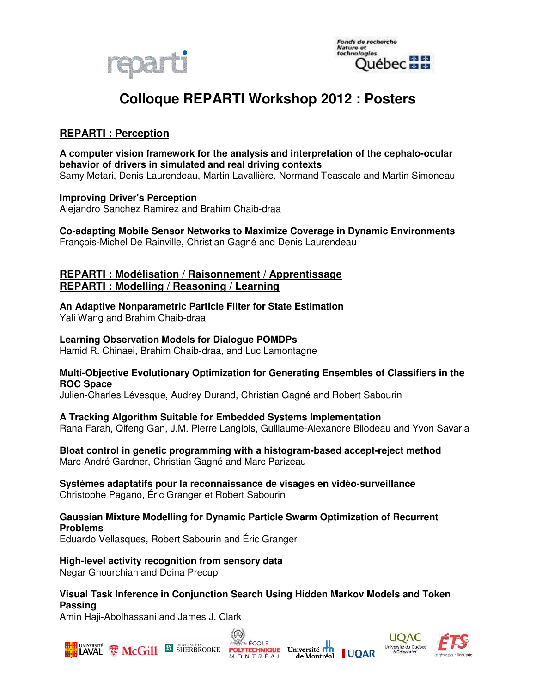



# **Colloque REPARTI Workshop 2012 : Posters**

## **REPARTI : Perception**

**A computer vision framework for the analysis and interpretation of the cephalo-ocular behavior of drivers in simulated and real driving contexts**  Samy Metari, Denis Laurendeau, Martin Lavallière, Normand Teasdale and Martin Simoneau

## **Improving Driver's Perception**

Alejandro Sanchez Ramirez and Brahim Chaib-draa

**Co-adapting Mobile Sensor Networks to Maximize Coverage in Dynamic Environments**  François-Michel De Rainville, Christian Gagné and Denis Laurendeau

## **REPARTI : Modélisation / Raisonnement / Apprentissage REPARTI : Modelling / Reasoning / Learning**

**An Adaptive Nonparametric Particle Filter for State Estimation**  Yali Wang and Brahim Chaib-draa

## **Learning Observation Models for Dialogue POMDPs**

Hamid R. Chinaei, Brahim Chaib-draa, and Luc Lamontagne

#### **Multi-Objective Evolutionary Optimization for Generating Ensembles of Classifiers in the ROC Space**

Julien-Charles Lévesque, Audrey Durand, Christian Gagné and Robert Sabourin

#### **A Tracking Algorithm Suitable for Embedded Systems Implementation**

Rana Farah, Qifeng Gan, J.M. Pierre Langlois, Guillaume-Alexandre Bilodeau and Yvon Savaria

**Bloat control in genetic programming with a histogram-based accept-reject method**  Marc-André Gardner, Christian Gagné and Marc Parizeau

#### **Systèmes adaptatifs pour la reconnaissance de visages en vidéo-surveillance**  Christophe Pagano, Éric Granger et Robert Sabourin

## **Gaussian Mixture Modelling for Dynamic Particle Swarm Optimization of Recurrent Problems**

Eduardo Vellasques, Robert Sabourin and Éric Granger

**High-level activity recognition from sensory data**  Negar Ghourchian and Doina Precup

**Visual Task Inference in Conjunction Search Using Hidden Markov Models and Token Passing** 

Amin Haji-Abolhassani and James J. Clark